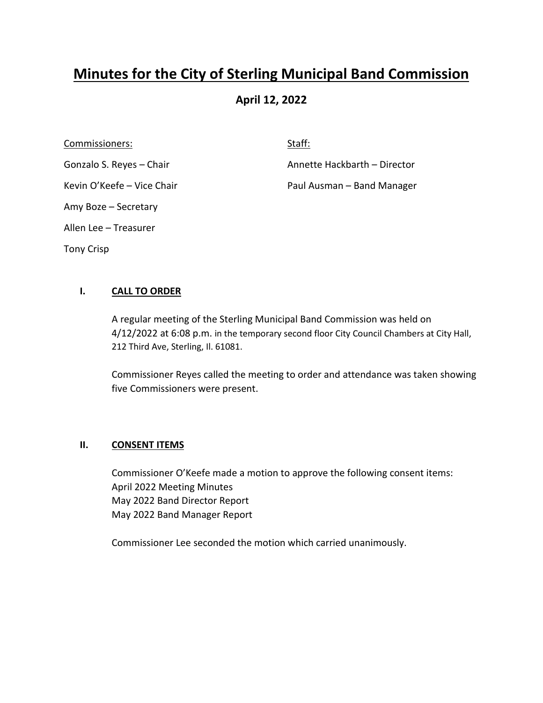# **Minutes for the City of Sterling Municipal Band Commission**

## **April 12, 2022**

Commissioners: Staff: Staff: Staff: Staff: Staff: Staff: Staff: Staff: Staff: Staff: Staff: Staff: Staff: Staff: Staff: Staff: Staff: Staff: Staff: Staff: Staff: Staff: Staff: Staff: Staff: Staff: Staff: Staff: Staff: Staf Amy Boze – Secretary Allen Lee – Treasurer Tony Crisp

Gonzalo S. Reyes – Chair **Annette Hackbarth – Director** 

Kevin O'Keefe – Vice Chair **Paul Ausman – Band Manager** Paul Ausman – Band Manager

## **I. CALL TO ORDER**

A regular meeting of the Sterling Municipal Band Commission was held on 4/12/2022 at 6:08 p.m. in the temporary second floor City Council Chambers at City Hall, 212 Third Ave, Sterling, Il. 61081.

Commissioner Reyes called the meeting to order and attendance was taken showing five Commissioners were present.

#### **II. CONSENT ITEMS**

Commissioner O'Keefe made a motion to approve the following consent items: April 2022 Meeting Minutes May 2022 Band Director Report May 2022 Band Manager Report

Commissioner Lee seconded the motion which carried unanimously.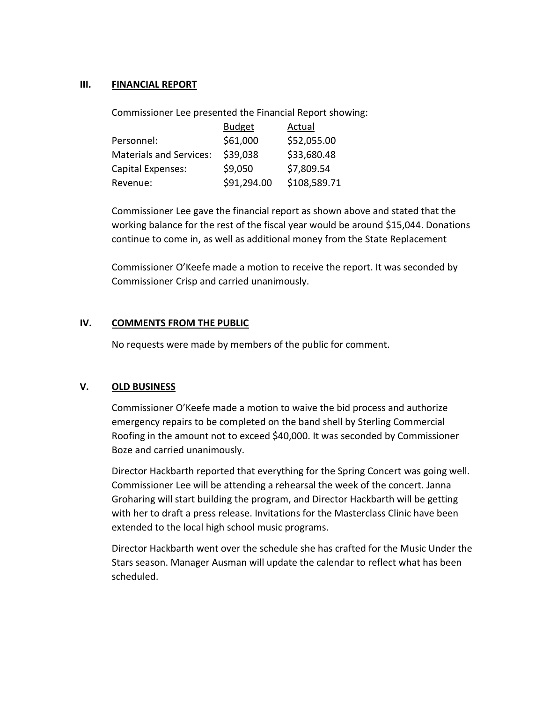#### **III. FINANCIAL REPORT**

Commissioner Lee presented the Financial Report showing:

|                                | <b>Budget</b> | Actual       |
|--------------------------------|---------------|--------------|
| Personnel:                     | \$61,000      | \$52,055.00  |
| <b>Materials and Services:</b> | \$39,038      | \$33,680.48  |
| Capital Expenses:              | \$9,050       | \$7,809.54   |
| Revenue:                       | \$91,294.00   | \$108,589.71 |

Commissioner Lee gave the financial report as shown above and stated that the working balance for the rest of the fiscal year would be around \$15,044. Donations continue to come in, as well as additional money from the State Replacement

Commissioner O'Keefe made a motion to receive the report. It was seconded by Commissioner Crisp and carried unanimously.

#### **IV. COMMENTS FROM THE PUBLIC**

No requests were made by members of the public for comment.

## **V. OLD BUSINESS**

Commissioner O'Keefe made a motion to waive the bid process and authorize emergency repairs to be completed on the band shell by Sterling Commercial Roofing in the amount not to exceed \$40,000. It was seconded by Commissioner Boze and carried unanimously.

Director Hackbarth reported that everything for the Spring Concert was going well. Commissioner Lee will be attending a rehearsal the week of the concert. Janna Groharing will start building the program, and Director Hackbarth will be getting with her to draft a press release. Invitations for the Masterclass Clinic have been extended to the local high school music programs.

Director Hackbarth went over the schedule she has crafted for the Music Under the Stars season. Manager Ausman will update the calendar to reflect what has been scheduled.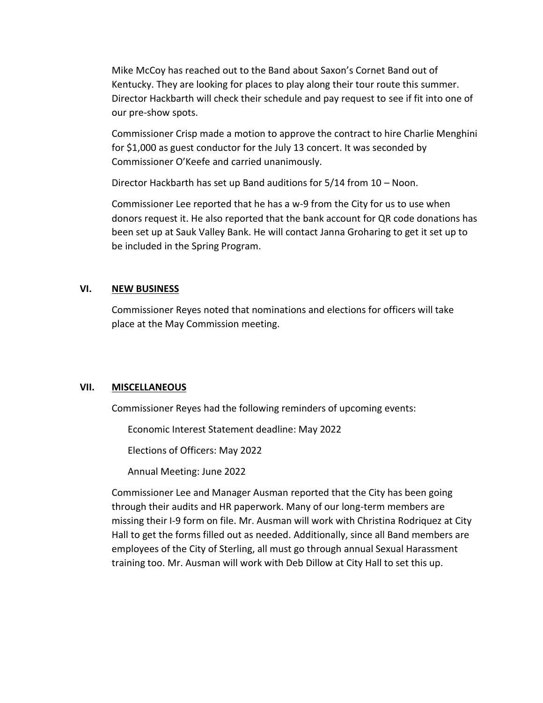Mike McCoy has reached out to the Band about Saxon's Cornet Band out of Kentucky. They are looking for places to play along their tour route this summer. Director Hackbarth will check their schedule and pay request to see if fit into one of our pre-show spots.

Commissioner Crisp made a motion to approve the contract to hire Charlie Menghini for \$1,000 as guest conductor for the July 13 concert. It was seconded by Commissioner O'Keefe and carried unanimously.

Director Hackbarth has set up Band auditions for 5/14 from 10 – Noon.

Commissioner Lee reported that he has a w-9 from the City for us to use when donors request it. He also reported that the bank account for QR code donations has been set up at Sauk Valley Bank. He will contact Janna Groharing to get it set up to be included in the Spring Program.

### **VI. NEW BUSINESS**

Commissioner Reyes noted that nominations and elections for officers will take place at the May Commission meeting.

## **VII. MISCELLANEOUS**

Commissioner Reyes had the following reminders of upcoming events:

Economic Interest Statement deadline: May 2022

Elections of Officers: May 2022

Annual Meeting: June 2022

Commissioner Lee and Manager Ausman reported that the City has been going through their audits and HR paperwork. Many of our long-term members are missing their I-9 form on file. Mr. Ausman will work with Christina Rodriquez at City Hall to get the forms filled out as needed. Additionally, since all Band members are employees of the City of Sterling, all must go through annual Sexual Harassment training too. Mr. Ausman will work with Deb Dillow at City Hall to set this up.